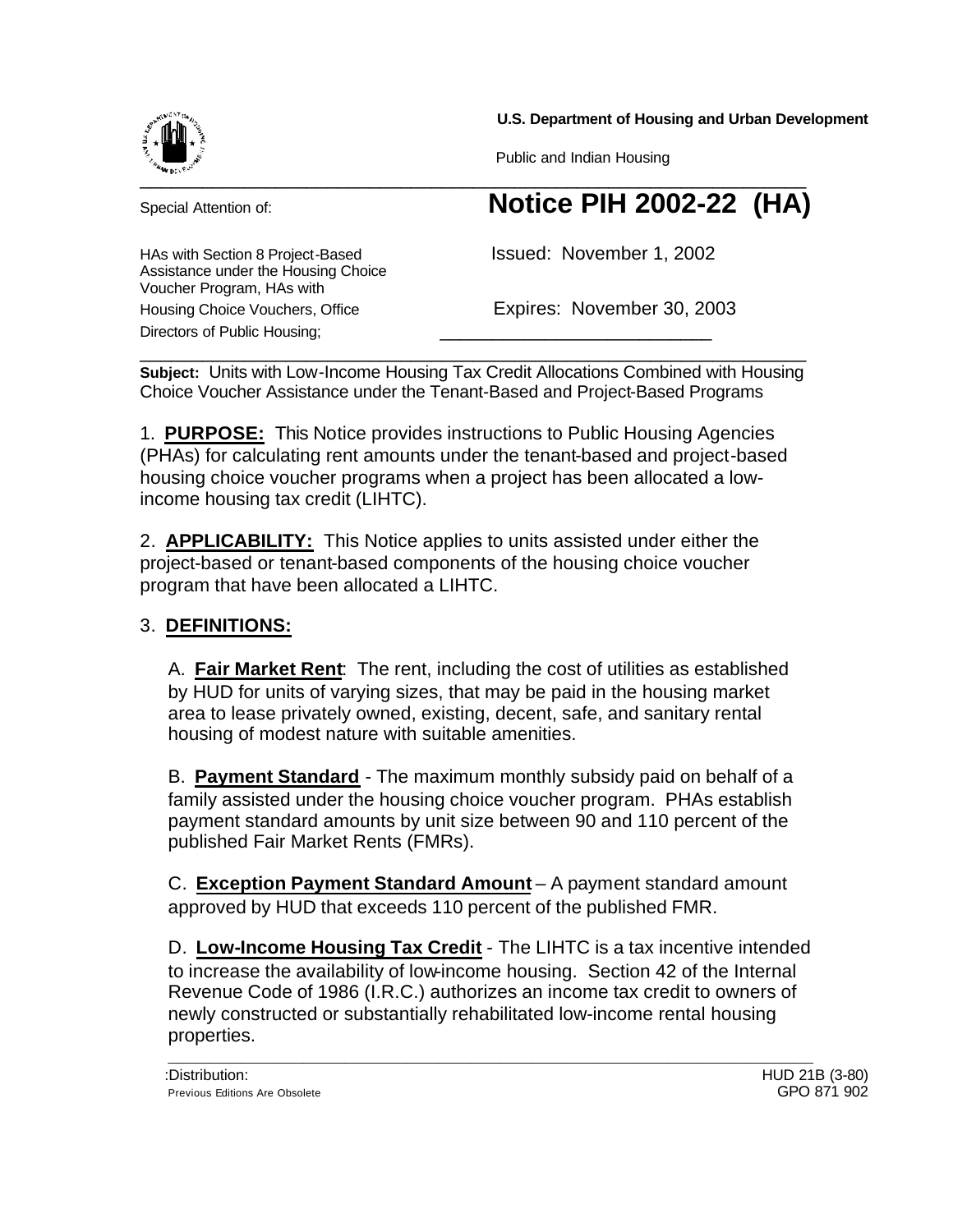**U.S. Department of Housing and Urban Development**



Assistance under the Housing Choice

Voucher Program, HAs with

Directors of Public Housing;

Public and Indian Housing

# $\sim$  . The set of the set of the set of the set of the set of the set of the set of the set of the set of the set of the set of the set of the set of the set of the set of the set of the set of the set of the set of the s Special Attention of: **Notice PIH 2002-22 (HA)**

HAs with Section 8 Project-Based **Interpretity Issued: November 1, 2002** 

Housing Choice Vouchers, Office **Expires: November 30, 2003** 

\_\_\_\_\_\_\_\_\_\_\_\_\_\_\_\_\_\_\_\_\_\_\_\_\_\_\_\_\_\_\_\_\_\_\_\_\_\_\_\_\_\_\_\_\_\_\_\_\_\_\_\_\_\_\_\_\_\_\_\_\_\_\_\_ **Subject:** Units with Low-Income Housing Tax Credit Allocations Combined with Housing Choice Voucher Assistance under the Tenant-Based and Project-Based Programs

1. **PURPOSE:** This Notice provides instructions to Public Housing Agencies (PHAs) for calculating rent amounts under the tenant-based and project-based housing choice voucher programs when a project has been allocated a lowincome housing tax credit (LIHTC).

2. **APPLICABILITY:** This Notice applies to units assisted under either the project-based or tenant-based components of the housing choice voucher program that have been allocated a LIHTC.

## 3. **DEFINITIONS:**

A. **Fair Market Rent**: The rent, including the cost of utilities as established by HUD for units of varying sizes, that may be paid in the housing market area to lease privately owned, existing, decent, safe, and sanitary rental housing of modest nature with suitable amenities.

B. **Payment Standard** - The maximum monthly subsidy paid on behalf of a family assisted under the housing choice voucher program. PHAs establish payment standard amounts by unit size between 90 and 110 percent of the published Fair Market Rents (FMRs).

C. **Exception Payment Standard Amount** – A payment standard amount approved by HUD that exceeds 110 percent of the published FMR.

D. **Low-Income Housing Tax Credit** - The LIHTC is a tax incentive intended to increase the availability of low-income housing. Section 42 of the Internal Revenue Code of 1986 (I.R.C.) authorizes an income tax credit to owners of newly constructed or substantially rehabilitated low-income rental housing properties. **\_\_\_\_\_\_\_\_\_\_\_\_\_\_\_\_\_\_\_\_\_\_\_\_\_\_\_\_\_\_\_\_\_\_\_\_\_\_\_\_\_\_\_\_\_\_\_\_\_\_\_\_\_\_\_\_\_\_\_\_\_\_**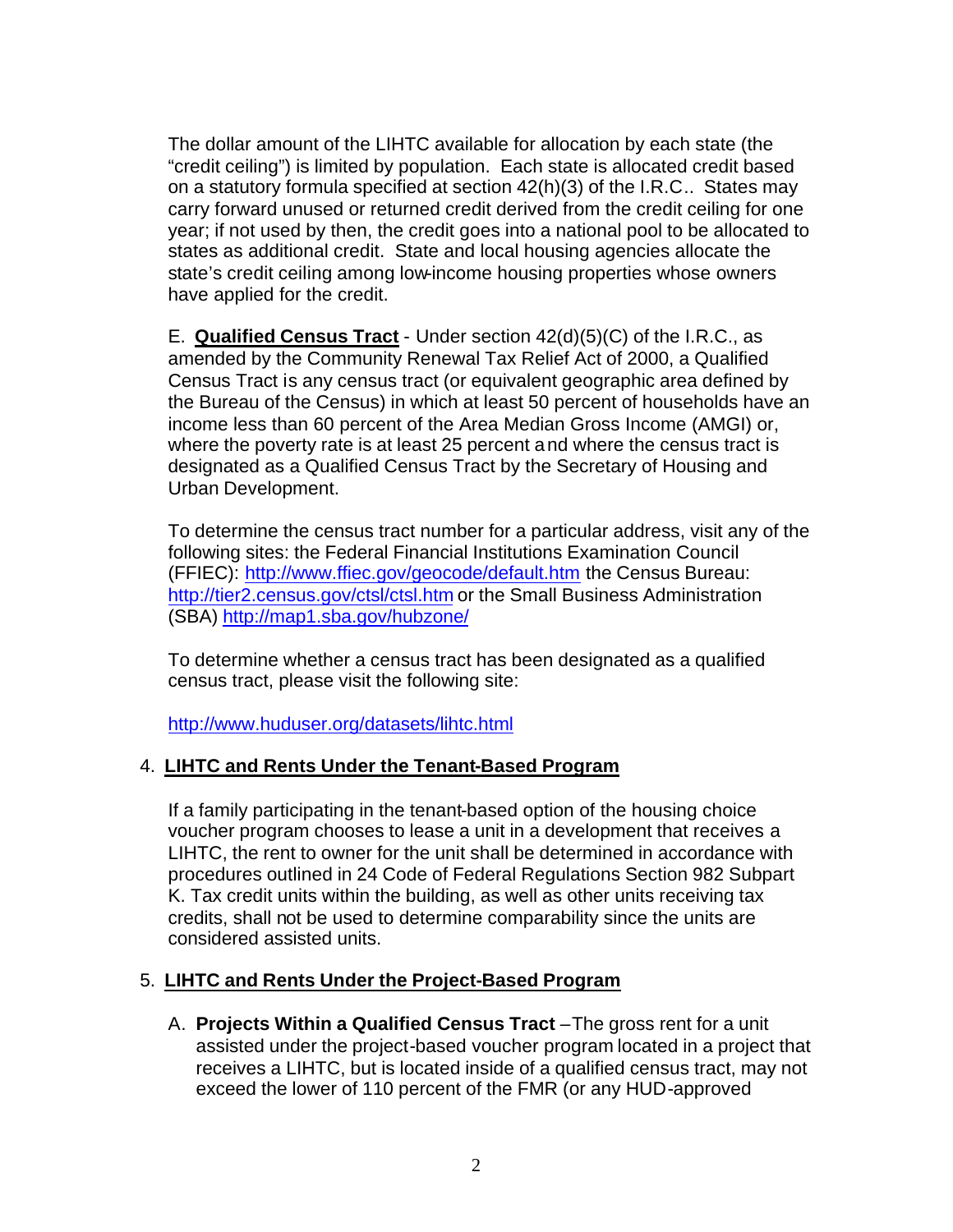The dollar amount of the LIHTC available for allocation by each state (the "credit ceiling") is limited by population. Each state is allocated credit based on a statutory formula specified at section 42(h)(3) of the I.R.C.. States may carry forward unused or returned credit derived from the credit ceiling for one year; if not used by then, the credit goes into a national pool to be allocated to states as additional credit. State and local housing agencies allocate the state's credit ceiling among low-income housing properties whose owners have applied for the credit.

E. **Qualified Census Tract** - Under section 42(d)(5)(C) of the I.R.C., as amended by the Community Renewal Tax Relief Act of 2000, a Qualified Census Tract is any census tract (or equivalent geographic area defined by the Bureau of the Census) in which at least 50 percent of households have an income less than 60 percent of the Area Median Gross Income (AMGI) or, where the poverty rate is at least 25 percent and where the census tract is designated as a Qualified Census Tract by the Secretary of Housing and Urban Development.

To determine the census tract number for a particular address, visit any of the following sites: the Federal Financial Institutions Examination Council (FFIEC): http://www.ffiec.gov/geocode/default.htm the Census Bureau: http://tier2.census.gov/ctsl/ctsl.htm or the Small Business Administration (SBA) http://map1.sba.gov/hubzone/

To determine whether a census tract has been designated as a qualified census tract, please visit the following site:

http://www.huduser.org/datasets/lihtc.html

### 4. **LIHTC and Rents Under the Tenant-Based Program**

If a family participating in the tenant-based option of the housing choice voucher program chooses to lease a unit in a development that receives a LIHTC, the rent to owner for the unit shall be determined in accordance with procedures outlined in 24 Code of Federal Regulations Section 982 Subpart K. Tax credit units within the building, as well as other units receiving tax credits, shall not be used to determine comparability since the units are considered assisted units.

### 5. **LIHTC and Rents Under the Project-Based Program**

A. **Projects Within a Qualified Census Tract** –The gross rent for a unit assisted under the project-based voucher program located in a project that receives a LIHTC, but is located inside of a qualified census tract, may not exceed the lower of 110 percent of the FMR (or any HUD-approved